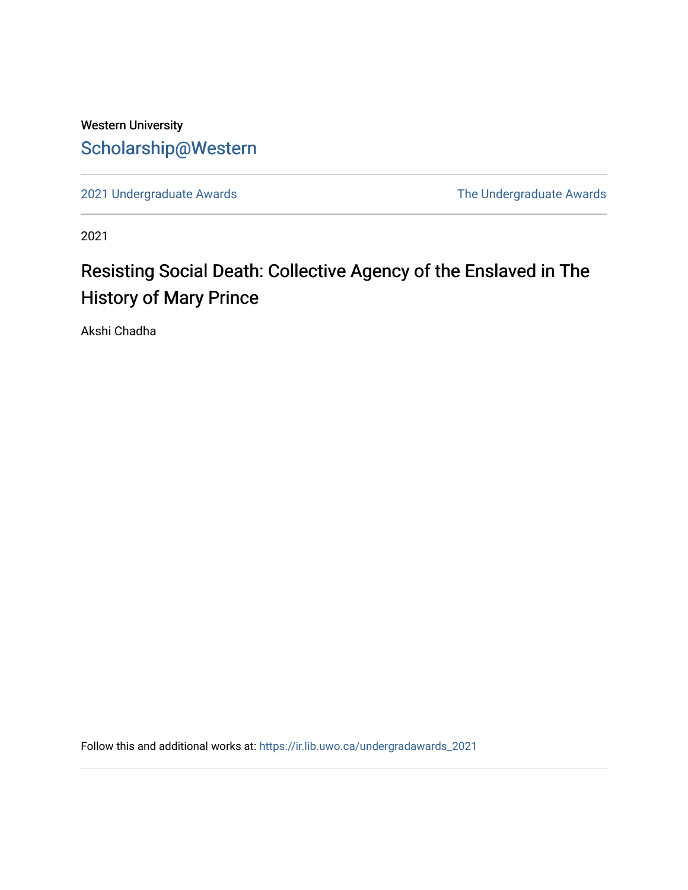## Western University [Scholarship@Western](https://ir.lib.uwo.ca/)

[2021 Undergraduate Awards](https://ir.lib.uwo.ca/undergradawards_2021) [The Undergraduate Awards](https://ir.lib.uwo.ca/ungradawards) 

2021

## Resisting Social Death: Collective Agency of the Enslaved in The History of Mary Prince

Akshi Chadha

Follow this and additional works at: [https://ir.lib.uwo.ca/undergradawards\\_2021](https://ir.lib.uwo.ca/undergradawards_2021?utm_source=ir.lib.uwo.ca%2Fundergradawards_2021%2F9&utm_medium=PDF&utm_campaign=PDFCoverPages)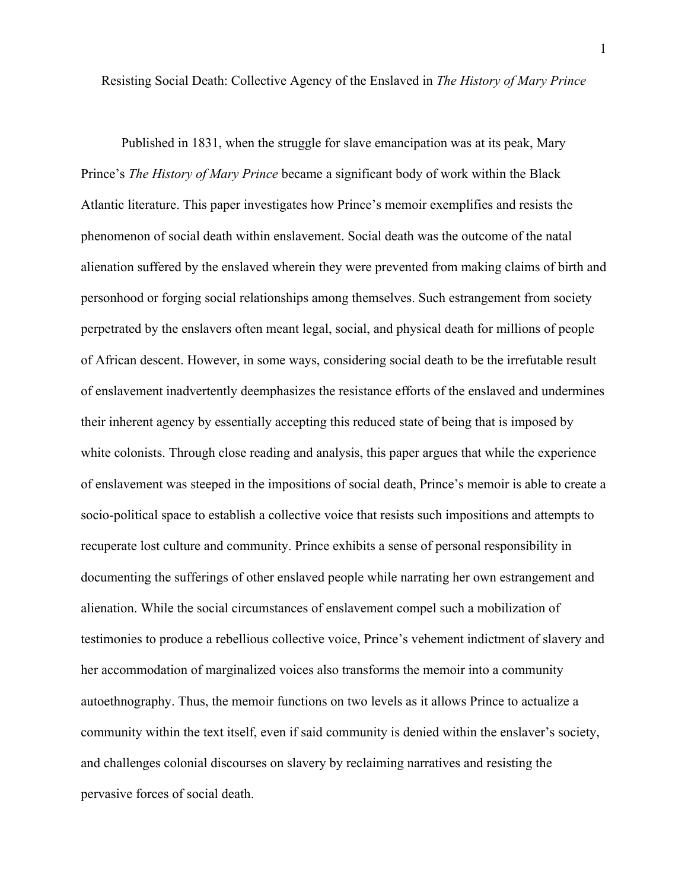Resisting Social Death: Collective Agency of the Enslaved in *The History of Mary Prince*

Published in 1831, when the struggle for slave emancipation was at its peak, Mary Prince's *The History of Mary Prince* became a significant body of work within the Black Atlantic literature. This paper investigates how Prince's memoir exemplifies and resists the phenomenon of social death within enslavement. Social death was the outcome of the natal alienation suffered by the enslaved wherein they were prevented from making claims of birth and personhood or forging social relationships among themselves. Such estrangement from society perpetrated by the enslavers often meant legal, social, and physical death for millions of people of African descent. However, in some ways, considering social death to be the irrefutable result of enslavement inadvertently deemphasizes the resistance efforts of the enslaved and undermines their inherent agency by essentially accepting this reduced state of being that is imposed by white colonists. Through close reading and analysis, this paper argues that while the experience of enslavement was steeped in the impositions of social death, Prince's memoir is able to create a socio-political space to establish a collective voice that resists such impositions and attempts to recuperate lost culture and community. Prince exhibits a sense of personal responsibility in documenting the sufferings of other enslaved people while narrating her own estrangement and alienation. While the social circumstances of enslavement compel such a mobilization of testimonies to produce a rebellious collective voice, Prince's vehement indictment of slavery and her accommodation of marginalized voices also transforms the memoir into a community autoethnography. Thus, the memoir functions on two levels as it allows Prince to actualize a community within the text itself, even if said community is denied within the enslaver's society, and challenges colonial discourses on slavery by reclaiming narratives and resisting the pervasive forces of social death.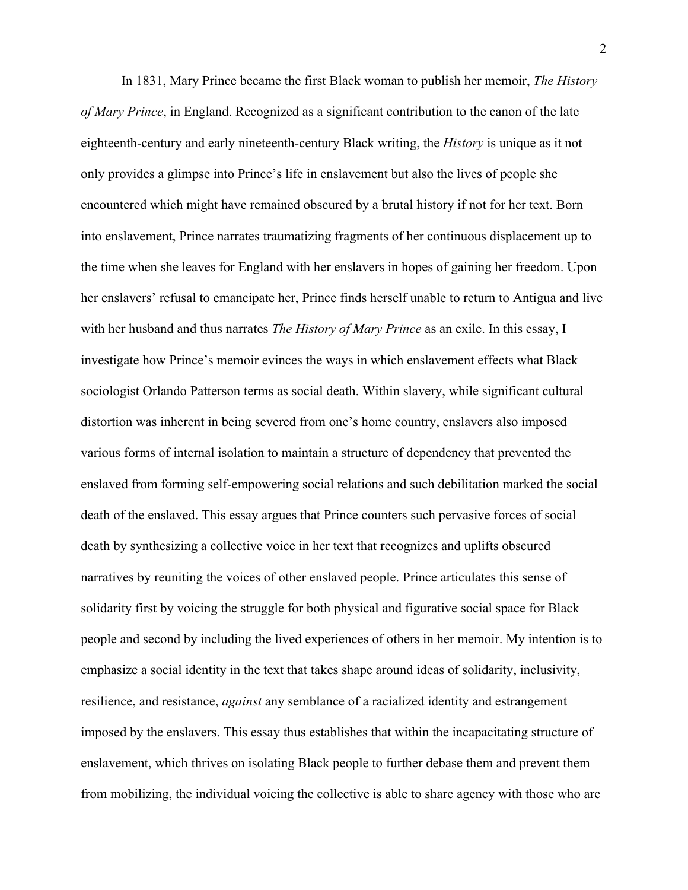In 1831, Mary Prince became the first Black woman to publish her memoir, *The History of Mary Prince*, in England. Recognized as a significant contribution to the canon of the late eighteenth-century and early nineteenth-century Black writing, the *History* is unique as it not only provides a glimpse into Prince's life in enslavement but also the lives of people she encountered which might have remained obscured by a brutal history if not for her text. Born into enslavement, Prince narrates traumatizing fragments of her continuous displacement up to the time when she leaves for England with her enslavers in hopes of gaining her freedom. Upon her enslavers' refusal to emancipate her, Prince finds herself unable to return to Antigua and live with her husband and thus narrates *The History of Mary Prince* as an exile. In this essay, I investigate how Prince's memoir evinces the ways in which enslavement effects what Black sociologist Orlando Patterson terms as social death. Within slavery, while significant cultural distortion was inherent in being severed from one's home country, enslavers also imposed various forms of internal isolation to maintain a structure of dependency that prevented the enslaved from forming self-empowering social relations and such debilitation marked the social death of the enslaved. This essay argues that Prince counters such pervasive forces of social death by synthesizing a collective voice in her text that recognizes and uplifts obscured narratives by reuniting the voices of other enslaved people. Prince articulates this sense of solidarity first by voicing the struggle for both physical and figurative social space for Black people and second by including the lived experiences of others in her memoir. My intention is to emphasize a social identity in the text that takes shape around ideas of solidarity, inclusivity, resilience, and resistance, *against* any semblance of a racialized identity and estrangement imposed by the enslavers. This essay thus establishes that within the incapacitating structure of enslavement, which thrives on isolating Black people to further debase them and prevent them from mobilizing, the individual voicing the collective is able to share agency with those who are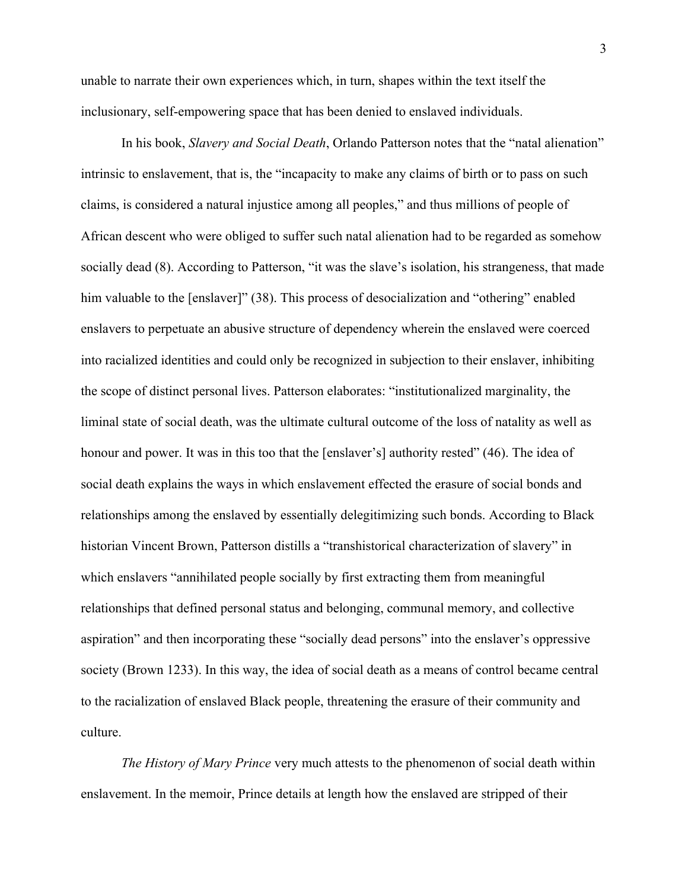unable to narrate their own experiences which, in turn, shapes within the text itself the inclusionary, self-empowering space that has been denied to enslaved individuals.

In his book, *Slavery and Social Death*, Orlando Patterson notes that the "natal alienation" intrinsic to enslavement, that is, the "incapacity to make any claims of birth or to pass on such claims, is considered a natural injustice among all peoples," and thus millions of people of African descent who were obliged to suffer such natal alienation had to be regarded as somehow socially dead (8). According to Patterson, "it was the slave's isolation, his strangeness, that made him valuable to the [enslaver]" (38). This process of desocialization and "othering" enabled enslavers to perpetuate an abusive structure of dependency wherein the enslaved were coerced into racialized identities and could only be recognized in subjection to their enslaver, inhibiting the scope of distinct personal lives. Patterson elaborates: "institutionalized marginality, the liminal state of social death, was the ultimate cultural outcome of the loss of natality as well as honour and power. It was in this too that the [enslaver's] authority rested" (46). The idea of social death explains the ways in which enslavement effected the erasure of social bonds and relationships among the enslaved by essentially delegitimizing such bonds. According to Black historian Vincent Brown, Patterson distills a "transhistorical characterization of slavery" in which enslavers "annihilated people socially by first extracting them from meaningful relationships that defined personal status and belonging, communal memory, and collective aspiration" and then incorporating these "socially dead persons" into the enslaver's oppressive society (Brown 1233). In this way, the idea of social death as a means of control became central to the racialization of enslaved Black people, threatening the erasure of their community and culture.

*The History of Mary Prince* very much attests to the phenomenon of social death within enslavement. In the memoir, Prince details at length how the enslaved are stripped of their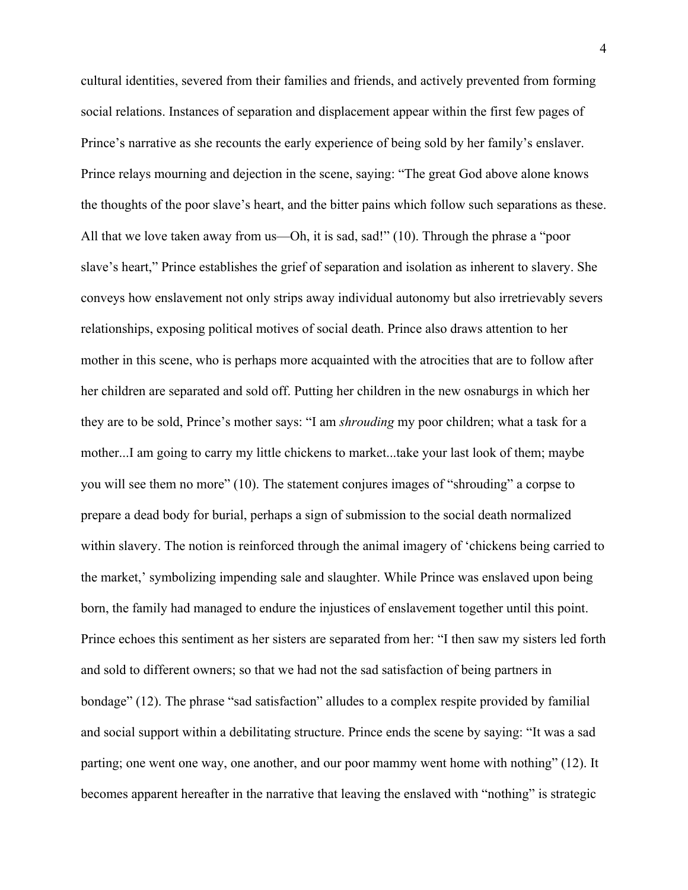cultural identities, severed from their families and friends, and actively prevented from forming social relations. Instances of separation and displacement appear within the first few pages of Prince's narrative as she recounts the early experience of being sold by her family's enslaver. Prince relays mourning and dejection in the scene, saying: "The great God above alone knows the thoughts of the poor slave's heart, and the bitter pains which follow such separations as these. All that we love taken away from us—Oh, it is sad, sad!" (10). Through the phrase a "poor slave's heart," Prince establishes the grief of separation and isolation as inherent to slavery. She conveys how enslavement not only strips away individual autonomy but also irretrievably severs relationships, exposing political motives of social death. Prince also draws attention to her mother in this scene, who is perhaps more acquainted with the atrocities that are to follow after her children are separated and sold off. Putting her children in the new osnaburgs in which her they are to be sold, Prince's mother says: "I am *shrouding* my poor children; what a task for a mother...I am going to carry my little chickens to market...take your last look of them; maybe you will see them no more" (10). The statement conjures images of "shrouding" a corpse to prepare a dead body for burial, perhaps a sign of submission to the social death normalized within slavery. The notion is reinforced through the animal imagery of 'chickens being carried to the market,' symbolizing impending sale and slaughter. While Prince was enslaved upon being born, the family had managed to endure the injustices of enslavement together until this point. Prince echoes this sentiment as her sisters are separated from her: "I then saw my sisters led forth and sold to different owners; so that we had not the sad satisfaction of being partners in bondage" (12). The phrase "sad satisfaction" alludes to a complex respite provided by familial and social support within a debilitating structure. Prince ends the scene by saying: "It was a sad parting; one went one way, one another, and our poor mammy went home with nothing" (12). It becomes apparent hereafter in the narrative that leaving the enslaved with "nothing" is strategic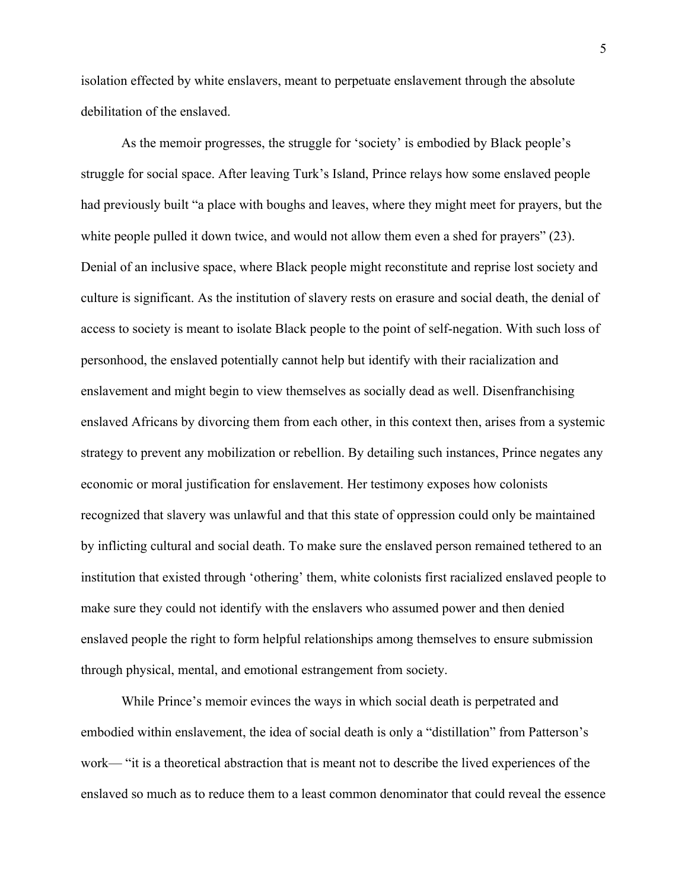isolation effected by white enslavers, meant to perpetuate enslavement through the absolute debilitation of the enslaved.

As the memoir progresses, the struggle for 'society' is embodied by Black people's struggle for social space. After leaving Turk's Island, Prince relays how some enslaved people had previously built "a place with boughs and leaves, where they might meet for prayers, but the white people pulled it down twice, and would not allow them even a shed for prayers" (23). Denial of an inclusive space, where Black people might reconstitute and reprise lost society and culture is significant. As the institution of slavery rests on erasure and social death, the denial of access to society is meant to isolate Black people to the point of self-negation. With such loss of personhood, the enslaved potentially cannot help but identify with their racialization and enslavement and might begin to view themselves as socially dead as well. Disenfranchising enslaved Africans by divorcing them from each other, in this context then, arises from a systemic strategy to prevent any mobilization or rebellion. By detailing such instances, Prince negates any economic or moral justification for enslavement. Her testimony exposes how colonists recognized that slavery was unlawful and that this state of oppression could only be maintained by inflicting cultural and social death. To make sure the enslaved person remained tethered to an institution that existed through 'othering' them, white colonists first racialized enslaved people to make sure they could not identify with the enslavers who assumed power and then denied enslaved people the right to form helpful relationships among themselves to ensure submission through physical, mental, and emotional estrangement from society.

While Prince's memoir evinces the ways in which social death is perpetrated and embodied within enslavement, the idea of social death is only a "distillation" from Patterson's work— "it is a theoretical abstraction that is meant not to describe the lived experiences of the enslaved so much as to reduce them to a least common denominator that could reveal the essence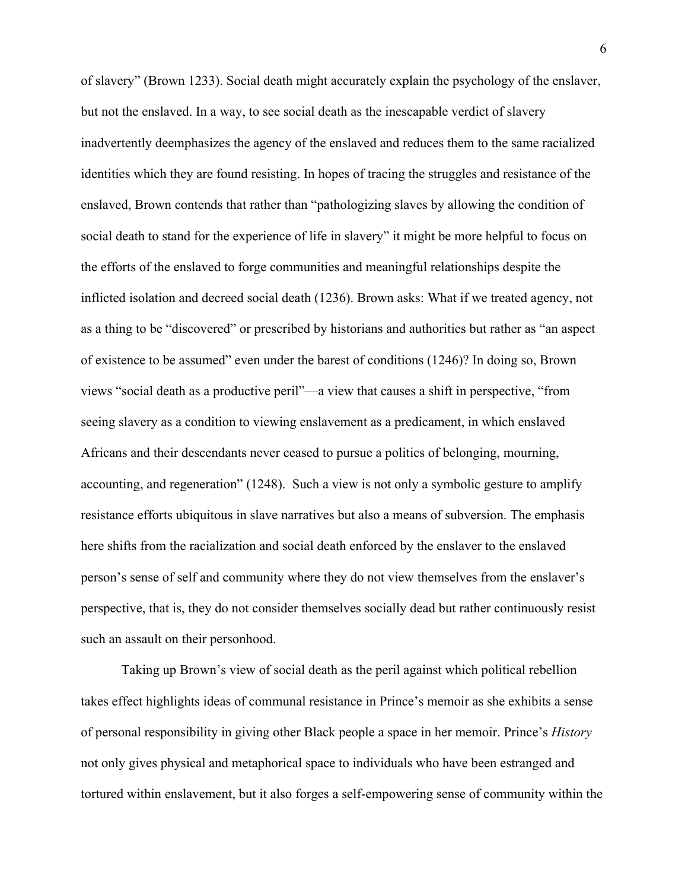of slavery" (Brown 1233). Social death might accurately explain the psychology of the enslaver, but not the enslaved. In a way, to see social death as the inescapable verdict of slavery inadvertently deemphasizes the agency of the enslaved and reduces them to the same racialized identities which they are found resisting. In hopes of tracing the struggles and resistance of the enslaved, Brown contends that rather than "pathologizing slaves by allowing the condition of social death to stand for the experience of life in slavery" it might be more helpful to focus on the efforts of the enslaved to forge communities and meaningful relationships despite the inflicted isolation and decreed social death (1236). Brown asks: What if we treated agency, not as a thing to be "discovered" or prescribed by historians and authorities but rather as "an aspect of existence to be assumed" even under the barest of conditions (1246)? In doing so, Brown views "social death as a productive peril"—a view that causes a shift in perspective, "from seeing slavery as a condition to viewing enslavement as a predicament, in which enslaved Africans and their descendants never ceased to pursue a politics of belonging, mourning, accounting, and regeneration" (1248). Such a view is not only a symbolic gesture to amplify resistance efforts ubiquitous in slave narratives but also a means of subversion. The emphasis here shifts from the racialization and social death enforced by the enslaver to the enslaved person's sense of self and community where they do not view themselves from the enslaver's perspective, that is, they do not consider themselves socially dead but rather continuously resist such an assault on their personhood.

Taking up Brown's view of social death as the peril against which political rebellion takes effect highlights ideas of communal resistance in Prince's memoir as she exhibits a sense of personal responsibility in giving other Black people a space in her memoir. Prince's *History* not only gives physical and metaphorical space to individuals who have been estranged and tortured within enslavement, but it also forges a self-empowering sense of community within the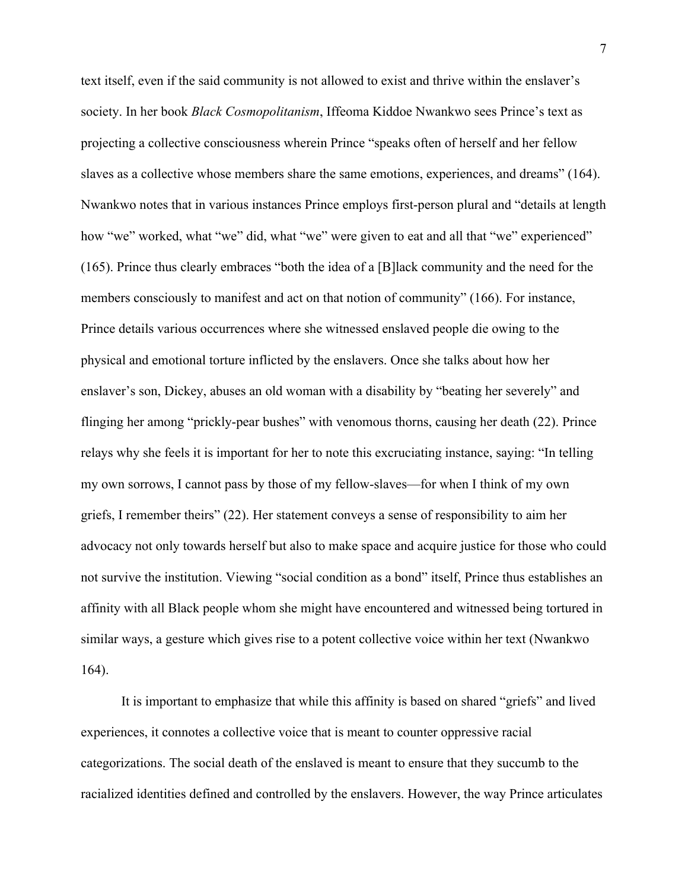text itself, even if the said community is not allowed to exist and thrive within the enslaver's society. In her book *Black Cosmopolitanism*, Iffeoma Kiddoe Nwankwo sees Prince's text as projecting a collective consciousness wherein Prince "speaks often of herself and her fellow slaves as a collective whose members share the same emotions, experiences, and dreams" (164). Nwankwo notes that in various instances Prince employs first-person plural and "details at length how "we" worked, what "we" did, what "we" were given to eat and all that "we" experienced" (165). Prince thus clearly embraces "both the idea of a [B]lack community and the need for the members consciously to manifest and act on that notion of community" (166). For instance, Prince details various occurrences where she witnessed enslaved people die owing to the physical and emotional torture inflicted by the enslavers. Once she talks about how her enslaver's son, Dickey, abuses an old woman with a disability by "beating her severely" and flinging her among "prickly-pear bushes" with venomous thorns, causing her death (22). Prince relays why she feels it is important for her to note this excruciating instance, saying: "In telling my own sorrows, I cannot pass by those of my fellow-slaves—for when I think of my own griefs, I remember theirs" (22). Her statement conveys a sense of responsibility to aim her advocacy not only towards herself but also to make space and acquire justice for those who could not survive the institution. Viewing "social condition as a bond" itself, Prince thus establishes an affinity with all Black people whom she might have encountered and witnessed being tortured in similar ways, a gesture which gives rise to a potent collective voice within her text (Nwankwo 164).

It is important to emphasize that while this affinity is based on shared "griefs" and lived experiences, it connotes a collective voice that is meant to counter oppressive racial categorizations. The social death of the enslaved is meant to ensure that they succumb to the racialized identities defined and controlled by the enslavers. However, the way Prince articulates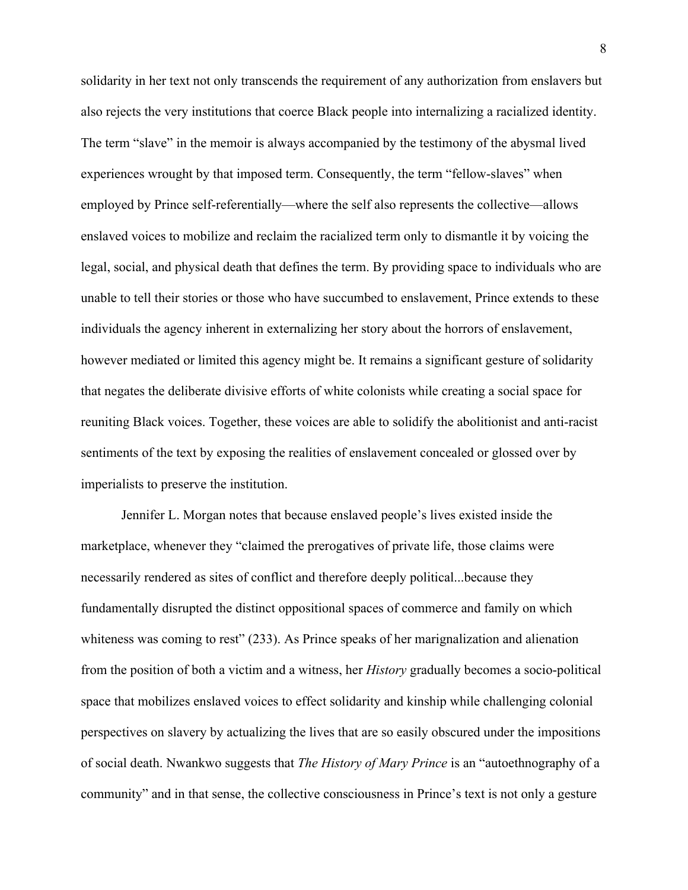solidarity in her text not only transcends the requirement of any authorization from enslavers but also rejects the very institutions that coerce Black people into internalizing a racialized identity. The term "slave" in the memoir is always accompanied by the testimony of the abysmal lived experiences wrought by that imposed term. Consequently, the term "fellow-slaves" when employed by Prince self-referentially—where the self also represents the collective—allows enslaved voices to mobilize and reclaim the racialized term only to dismantle it by voicing the legal, social, and physical death that defines the term. By providing space to individuals who are unable to tell their stories or those who have succumbed to enslavement, Prince extends to these individuals the agency inherent in externalizing her story about the horrors of enslavement, however mediated or limited this agency might be. It remains a significant gesture of solidarity that negates the deliberate divisive efforts of white colonists while creating a social space for reuniting Black voices. Together, these voices are able to solidify the abolitionist and anti-racist sentiments of the text by exposing the realities of enslavement concealed or glossed over by imperialists to preserve the institution.

Jennifer L. Morgan notes that because enslaved people's lives existed inside the marketplace, whenever they "claimed the prerogatives of private life, those claims were necessarily rendered as sites of conflict and therefore deeply political...because they fundamentally disrupted the distinct oppositional spaces of commerce and family on which whiteness was coming to rest" (233). As Prince speaks of her marignalization and alienation from the position of both a victim and a witness, her *History* gradually becomes a socio-political space that mobilizes enslaved voices to effect solidarity and kinship while challenging colonial perspectives on slavery by actualizing the lives that are so easily obscured under the impositions of social death. Nwankwo suggests that *The History of Mary Prince* is an "autoethnography of a community" and in that sense, the collective consciousness in Prince's text is not only a gesture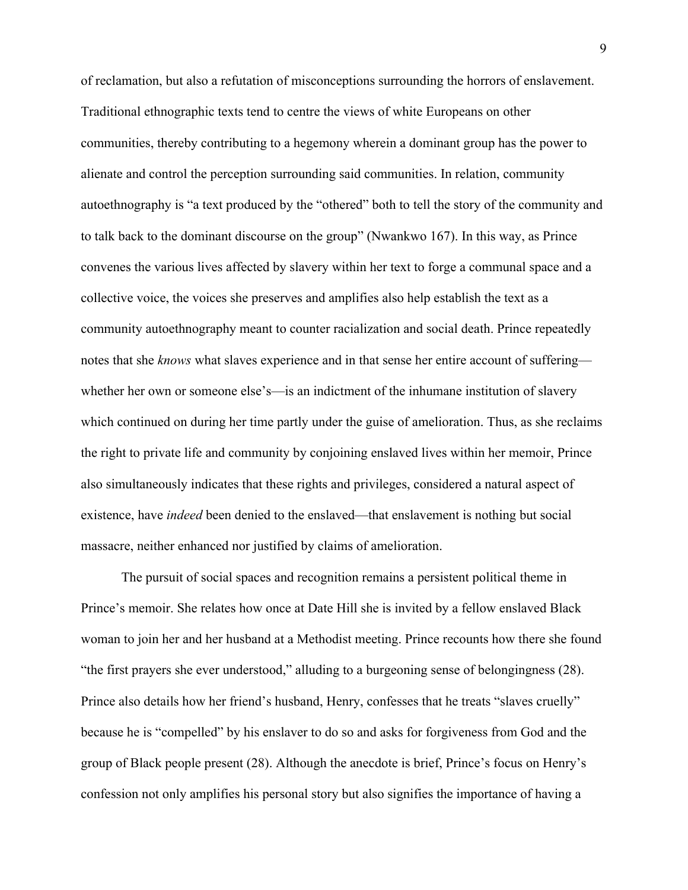of reclamation, but also a refutation of misconceptions surrounding the horrors of enslavement. Traditional ethnographic texts tend to centre the views of white Europeans on other communities, thereby contributing to a hegemony wherein a dominant group has the power to alienate and control the perception surrounding said communities. In relation, community autoethnography is "a text produced by the "othered" both to tell the story of the community and to talk back to the dominant discourse on the group" (Nwankwo 167). In this way, as Prince convenes the various lives affected by slavery within her text to forge a communal space and a collective voice, the voices she preserves and amplifies also help establish the text as a community autoethnography meant to counter racialization and social death. Prince repeatedly notes that she *knows* what slaves experience and in that sense her entire account of suffering whether her own or someone else's—is an indictment of the inhumane institution of slavery which continued on during her time partly under the guise of amelioration. Thus, as she reclaims the right to private life and community by conjoining enslaved lives within her memoir, Prince also simultaneously indicates that these rights and privileges, considered a natural aspect of existence, have *indeed* been denied to the enslaved—that enslavement is nothing but social massacre, neither enhanced nor justified by claims of amelioration.

The pursuit of social spaces and recognition remains a persistent political theme in Prince's memoir. She relates how once at Date Hill she is invited by a fellow enslaved Black woman to join her and her husband at a Methodist meeting. Prince recounts how there she found "the first prayers she ever understood," alluding to a burgeoning sense of belongingness (28). Prince also details how her friend's husband, Henry, confesses that he treats "slaves cruelly" because he is "compelled" by his enslaver to do so and asks for forgiveness from God and the group of Black people present (28). Although the anecdote is brief, Prince's focus on Henry's confession not only amplifies his personal story but also signifies the importance of having a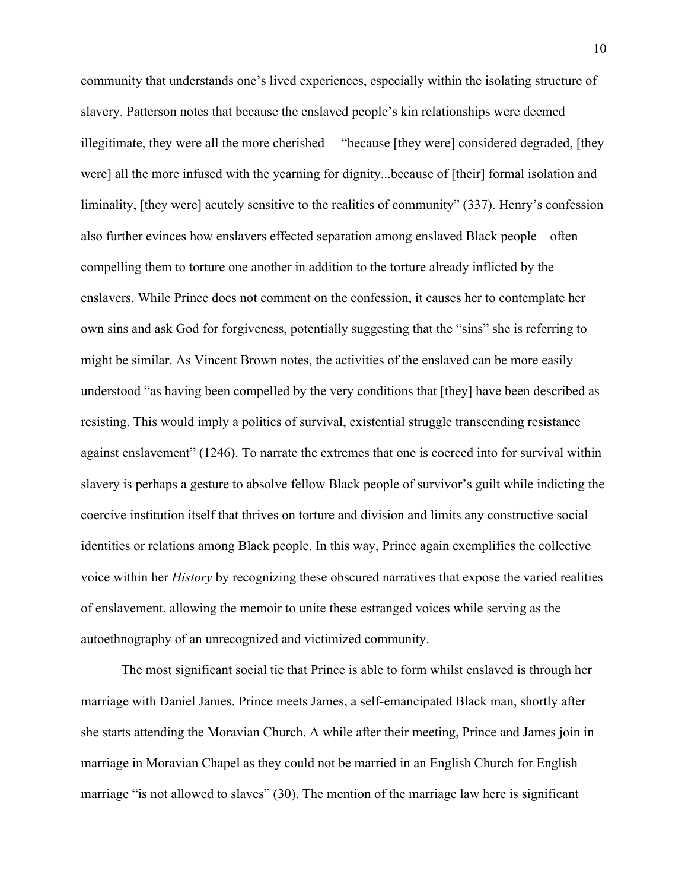community that understands one's lived experiences, especially within the isolating structure of slavery. Patterson notes that because the enslaved people's kin relationships were deemed illegitimate, they were all the more cherished— "because [they were] considered degraded, [they were] all the more infused with the yearning for dignity...because of [their] formal isolation and liminality, [they were] acutely sensitive to the realities of community" (337). Henry's confession also further evinces how enslavers effected separation among enslaved Black people—often compelling them to torture one another in addition to the torture already inflicted by the enslavers. While Prince does not comment on the confession, it causes her to contemplate her own sins and ask God for forgiveness, potentially suggesting that the "sins" she is referring to might be similar. As Vincent Brown notes, the activities of the enslaved can be more easily understood "as having been compelled by the very conditions that [they] have been described as resisting. This would imply a politics of survival, existential struggle transcending resistance against enslavement" (1246). To narrate the extremes that one is coerced into for survival within slavery is perhaps a gesture to absolve fellow Black people of survivor's guilt while indicting the coercive institution itself that thrives on torture and division and limits any constructive social identities or relations among Black people. In this way, Prince again exemplifies the collective voice within her *History* by recognizing these obscured narratives that expose the varied realities of enslavement, allowing the memoir to unite these estranged voices while serving as the autoethnography of an unrecognized and victimized community.

The most significant social tie that Prince is able to form whilst enslaved is through her marriage with Daniel James. Prince meets James, a self-emancipated Black man, shortly after she starts attending the Moravian Church. A while after their meeting, Prince and James join in marriage in Moravian Chapel as they could not be married in an English Church for English marriage "is not allowed to slaves" (30). The mention of the marriage law here is significant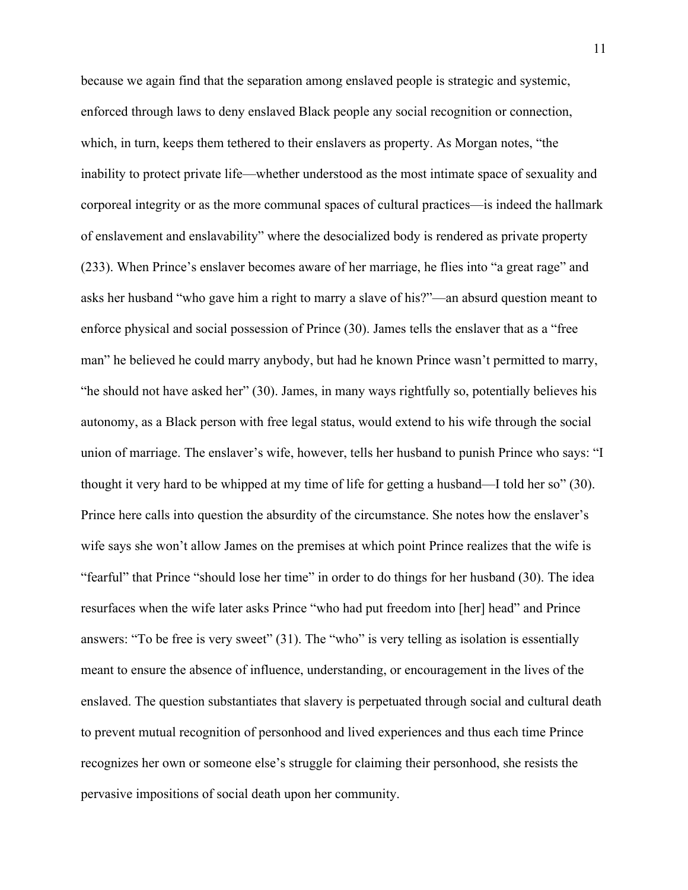because we again find that the separation among enslaved people is strategic and systemic, enforced through laws to deny enslaved Black people any social recognition or connection, which, in turn, keeps them tethered to their enslavers as property. As Morgan notes, "the inability to protect private life—whether understood as the most intimate space of sexuality and corporeal integrity or as the more communal spaces of cultural practices—is indeed the hallmark of enslavement and enslavability" where the desocialized body is rendered as private property (233). When Prince's enslaver becomes aware of her marriage, he flies into "a great rage" and asks her husband "who gave him a right to marry a slave of his?"—an absurd question meant to enforce physical and social possession of Prince (30). James tells the enslaver that as a "free man" he believed he could marry anybody, but had he known Prince wasn't permitted to marry, "he should not have asked her" (30). James, in many ways rightfully so, potentially believes his autonomy, as a Black person with free legal status, would extend to his wife through the social union of marriage. The enslaver's wife, however, tells her husband to punish Prince who says: "I thought it very hard to be whipped at my time of life for getting a husband—I told her so" (30). Prince here calls into question the absurdity of the circumstance. She notes how the enslaver's wife says she won't allow James on the premises at which point Prince realizes that the wife is "fearful" that Prince "should lose her time" in order to do things for her husband (30). The idea resurfaces when the wife later asks Prince "who had put freedom into [her] head" and Prince answers: "To be free is very sweet" (31). The "who" is very telling as isolation is essentially meant to ensure the absence of influence, understanding, or encouragement in the lives of the enslaved. The question substantiates that slavery is perpetuated through social and cultural death to prevent mutual recognition of personhood and lived experiences and thus each time Prince recognizes her own or someone else's struggle for claiming their personhood, she resists the pervasive impositions of social death upon her community.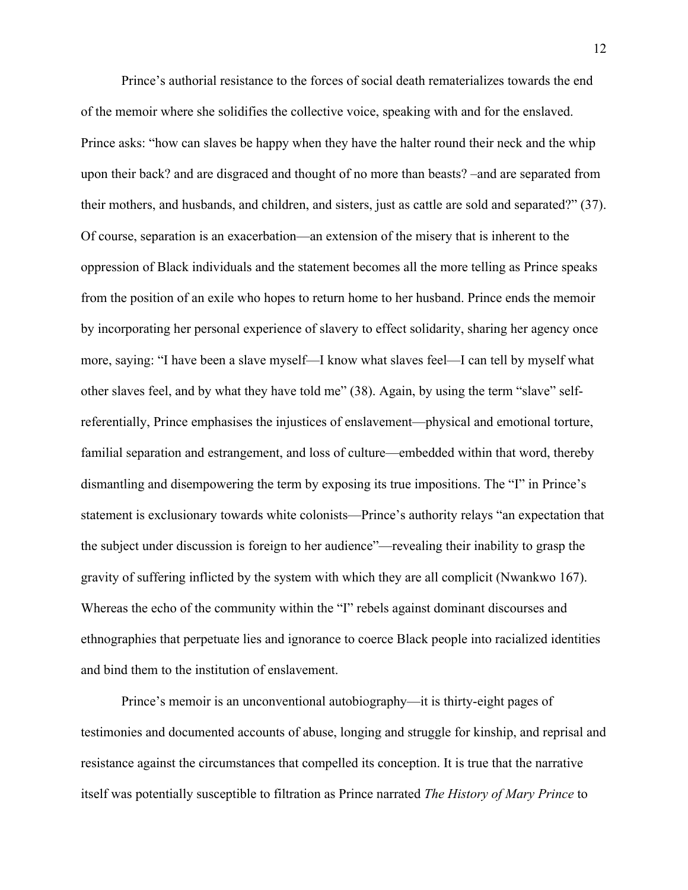Prince's authorial resistance to the forces of social death rematerializes towards the end of the memoir where she solidifies the collective voice, speaking with and for the enslaved. Prince asks: "how can slaves be happy when they have the halter round their neck and the whip upon their back? and are disgraced and thought of no more than beasts? –and are separated from their mothers, and husbands, and children, and sisters, just as cattle are sold and separated?" (37). Of course, separation is an exacerbation—an extension of the misery that is inherent to the oppression of Black individuals and the statement becomes all the more telling as Prince speaks from the position of an exile who hopes to return home to her husband. Prince ends the memoir by incorporating her personal experience of slavery to effect solidarity, sharing her agency once more, saying: "I have been a slave myself—I know what slaves feel—I can tell by myself what other slaves feel, and by what they have told me" (38). Again, by using the term "slave" selfreferentially, Prince emphasises the injustices of enslavement—physical and emotional torture, familial separation and estrangement, and loss of culture—embedded within that word, thereby dismantling and disempowering the term by exposing its true impositions. The "I" in Prince's statement is exclusionary towards white colonists—Prince's authority relays "an expectation that the subject under discussion is foreign to her audience"—revealing their inability to grasp the gravity of suffering inflicted by the system with which they are all complicit (Nwankwo 167). Whereas the echo of the community within the "I" rebels against dominant discourses and ethnographies that perpetuate lies and ignorance to coerce Black people into racialized identities and bind them to the institution of enslavement.

Prince's memoir is an unconventional autobiography—it is thirty-eight pages of testimonies and documented accounts of abuse, longing and struggle for kinship, and reprisal and resistance against the circumstances that compelled its conception. It is true that the narrative itself was potentially susceptible to filtration as Prince narrated *The History of Mary Prince* to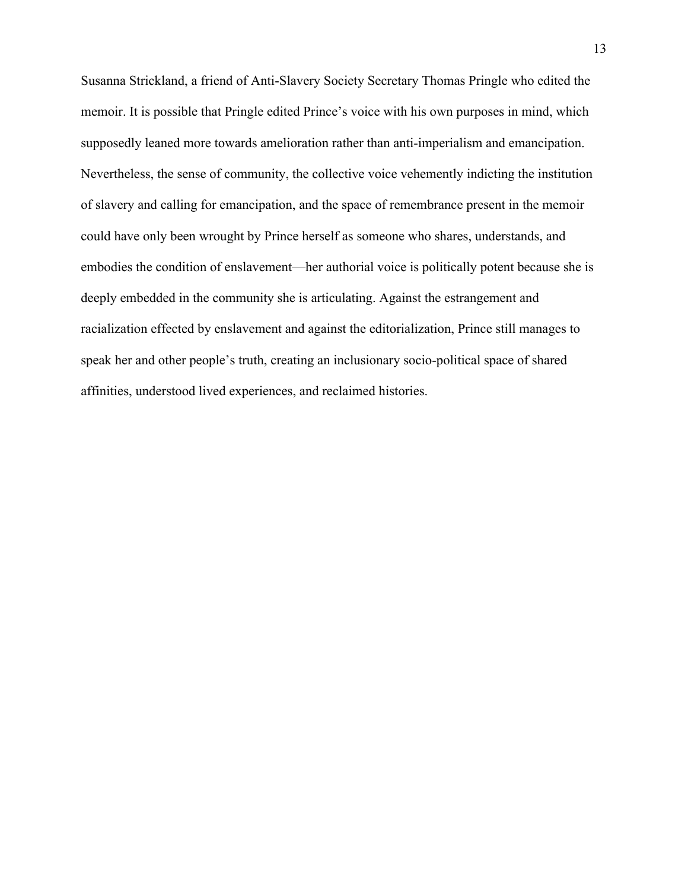Susanna Strickland, a friend of Anti-Slavery Society Secretary Thomas Pringle who edited the memoir. It is possible that Pringle edited Prince's voice with his own purposes in mind, which supposedly leaned more towards amelioration rather than anti-imperialism and emancipation. Nevertheless, the sense of community, the collective voice vehemently indicting the institution of slavery and calling for emancipation, and the space of remembrance present in the memoir could have only been wrought by Prince herself as someone who shares, understands, and embodies the condition of enslavement—her authorial voice is politically potent because she is deeply embedded in the community she is articulating. Against the estrangement and racialization effected by enslavement and against the editorialization, Prince still manages to speak her and other people's truth, creating an inclusionary socio-political space of shared affinities, understood lived experiences, and reclaimed histories.